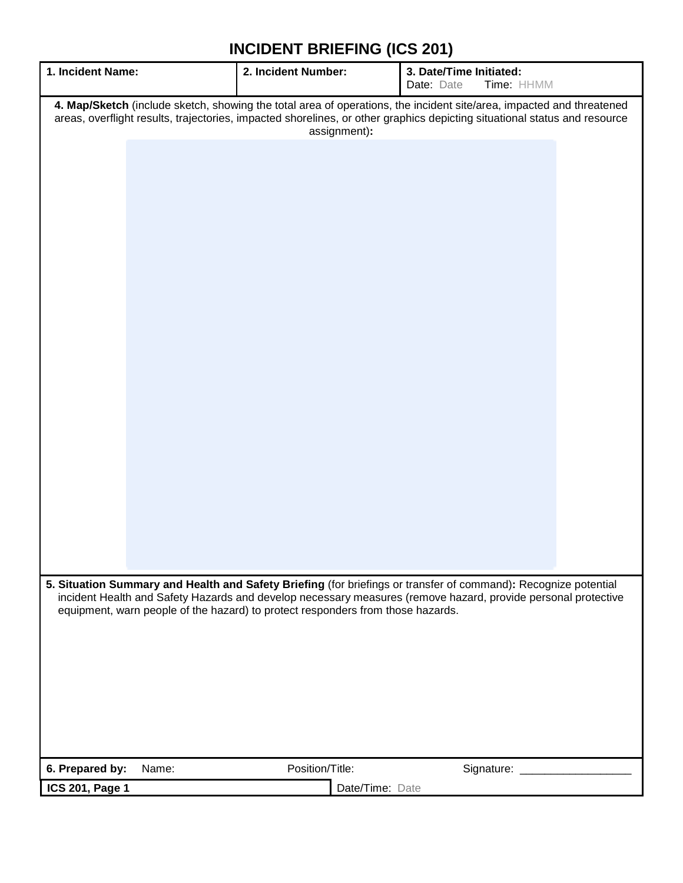| 1. Incident Name:                                                                                                                                                                                                                                                 | 2. Incident Number: | 3. Date/Time Initiated:<br>Time: HHMM<br>Date: Date                                                             |  |  |  |
|-------------------------------------------------------------------------------------------------------------------------------------------------------------------------------------------------------------------------------------------------------------------|---------------------|-----------------------------------------------------------------------------------------------------------------|--|--|--|
| 4. Map/Sketch (include sketch, showing the total area of operations, the incident site/area, impacted and threatened<br>areas, overflight results, trajectories, impacted shorelines, or other graphics depicting situational status and resource<br>assignment): |                     |                                                                                                                 |  |  |  |
|                                                                                                                                                                                                                                                                   |                     |                                                                                                                 |  |  |  |
|                                                                                                                                                                                                                                                                   |                     |                                                                                                                 |  |  |  |
|                                                                                                                                                                                                                                                                   |                     |                                                                                                                 |  |  |  |
|                                                                                                                                                                                                                                                                   |                     |                                                                                                                 |  |  |  |
|                                                                                                                                                                                                                                                                   |                     |                                                                                                                 |  |  |  |
|                                                                                                                                                                                                                                                                   |                     |                                                                                                                 |  |  |  |
|                                                                                                                                                                                                                                                                   |                     |                                                                                                                 |  |  |  |
|                                                                                                                                                                                                                                                                   |                     |                                                                                                                 |  |  |  |
|                                                                                                                                                                                                                                                                   |                     |                                                                                                                 |  |  |  |
|                                                                                                                                                                                                                                                                   |                     |                                                                                                                 |  |  |  |
|                                                                                                                                                                                                                                                                   |                     |                                                                                                                 |  |  |  |
|                                                                                                                                                                                                                                                                   |                     | 5. Situation Summary and Health and Safety Briefing (for briefings or transfer of command): Recognize potential |  |  |  |
| equipment, warn people of the hazard) to protect responders from those hazards.                                                                                                                                                                                   |                     | incident Health and Safety Hazards and develop necessary measures (remove hazard, provide personal protective   |  |  |  |
|                                                                                                                                                                                                                                                                   |                     |                                                                                                                 |  |  |  |
|                                                                                                                                                                                                                                                                   |                     |                                                                                                                 |  |  |  |
|                                                                                                                                                                                                                                                                   |                     |                                                                                                                 |  |  |  |
| 6. Prepared by:<br>Name:                                                                                                                                                                                                                                          | Position/Title:     | Signature: _                                                                                                    |  |  |  |
| <b>ICS 201, Page 1</b>                                                                                                                                                                                                                                            | Date/Time: Date     |                                                                                                                 |  |  |  |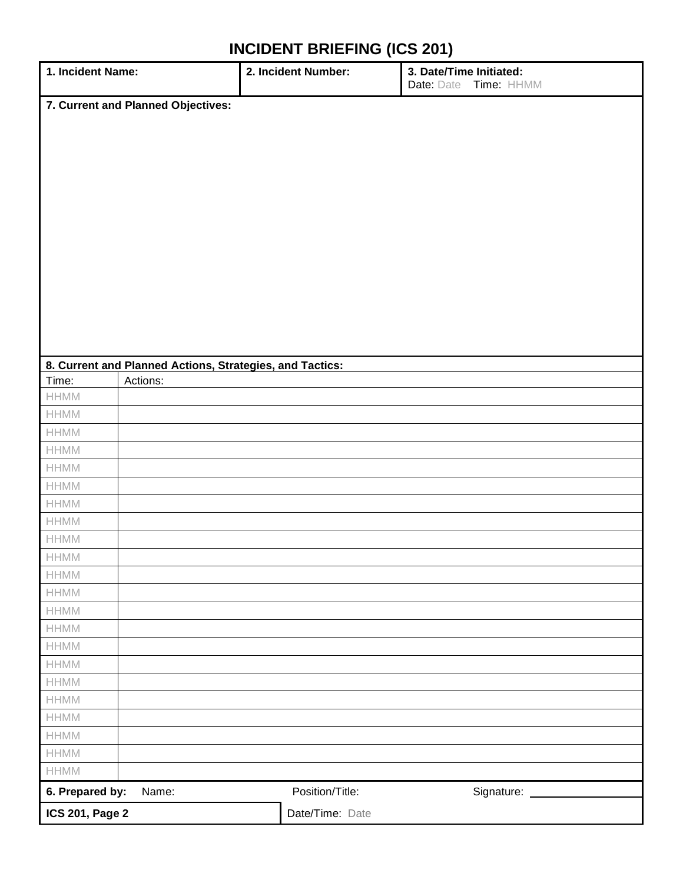| 1. Incident Name:                                        | 2. Incident Number: | 3. Date/Time Initiated:<br>Date: Date Time: HHMM |  |  |  |  |  |
|----------------------------------------------------------|---------------------|--------------------------------------------------|--|--|--|--|--|
| 7. Current and Planned Objectives:                       |                     |                                                  |  |  |  |  |  |
|                                                          |                     |                                                  |  |  |  |  |  |
|                                                          |                     |                                                  |  |  |  |  |  |
|                                                          |                     |                                                  |  |  |  |  |  |
|                                                          |                     |                                                  |  |  |  |  |  |
|                                                          |                     |                                                  |  |  |  |  |  |
|                                                          |                     |                                                  |  |  |  |  |  |
|                                                          |                     |                                                  |  |  |  |  |  |
|                                                          |                     |                                                  |  |  |  |  |  |
|                                                          |                     |                                                  |  |  |  |  |  |
|                                                          |                     |                                                  |  |  |  |  |  |
|                                                          |                     |                                                  |  |  |  |  |  |
|                                                          |                     |                                                  |  |  |  |  |  |
|                                                          |                     |                                                  |  |  |  |  |  |
| 8. Current and Planned Actions, Strategies, and Tactics: |                     |                                                  |  |  |  |  |  |
| Time:<br>Actions:                                        |                     |                                                  |  |  |  |  |  |
| $\ensuremath{\mathsf{HHMM}}$                             |                     |                                                  |  |  |  |  |  |
| $\ensuremath{\mathsf{HHMM}}$                             |                     |                                                  |  |  |  |  |  |
| $\ensuremath{\mathsf{HHMM}}$                             |                     |                                                  |  |  |  |  |  |
| $\ensuremath{\mathsf{HHMM}}$                             |                     |                                                  |  |  |  |  |  |
| $\ensuremath{\mathsf{HHMM}}$                             |                     |                                                  |  |  |  |  |  |
| $\ensuremath{\mathsf{HHMM}}$                             |                     |                                                  |  |  |  |  |  |
| $\ensuremath{\mathsf{HHMM}}$                             |                     |                                                  |  |  |  |  |  |
| $\ensuremath{\mathsf{HHMM}}$                             |                     |                                                  |  |  |  |  |  |
| $\ensuremath{\mathsf{HHMM}}$                             |                     |                                                  |  |  |  |  |  |
| HHMM                                                     |                     |                                                  |  |  |  |  |  |
| <b>HHMM</b>                                              |                     |                                                  |  |  |  |  |  |
| <b>HHMM</b>                                              |                     |                                                  |  |  |  |  |  |
| $\ensuremath{\mathsf{HHMM}}$                             |                     |                                                  |  |  |  |  |  |
| <b>HHMM</b>                                              |                     |                                                  |  |  |  |  |  |
| $\ensuremath{\mathsf{HHMM}}$                             |                     |                                                  |  |  |  |  |  |
| $\ensuremath{\mathsf{HHMM}}$                             |                     |                                                  |  |  |  |  |  |
| HHMM                                                     |                     |                                                  |  |  |  |  |  |
| $\ensuremath{\mathsf{HHMM}}$                             |                     |                                                  |  |  |  |  |  |
| $\ensuremath{\mathsf{HHMM}}$                             |                     |                                                  |  |  |  |  |  |
| HHMM                                                     |                     |                                                  |  |  |  |  |  |
| $\ensuremath{\mathsf{HHMM}}$                             |                     |                                                  |  |  |  |  |  |
| $\ensuremath{\mathsf{HHMM}}$                             |                     |                                                  |  |  |  |  |  |
| 6. Prepared by:<br>Name:                                 | Position/Title:     | Signature: ___                                   |  |  |  |  |  |
| <b>ICS 201, Page 2</b>                                   | Date/Time: Date     |                                                  |  |  |  |  |  |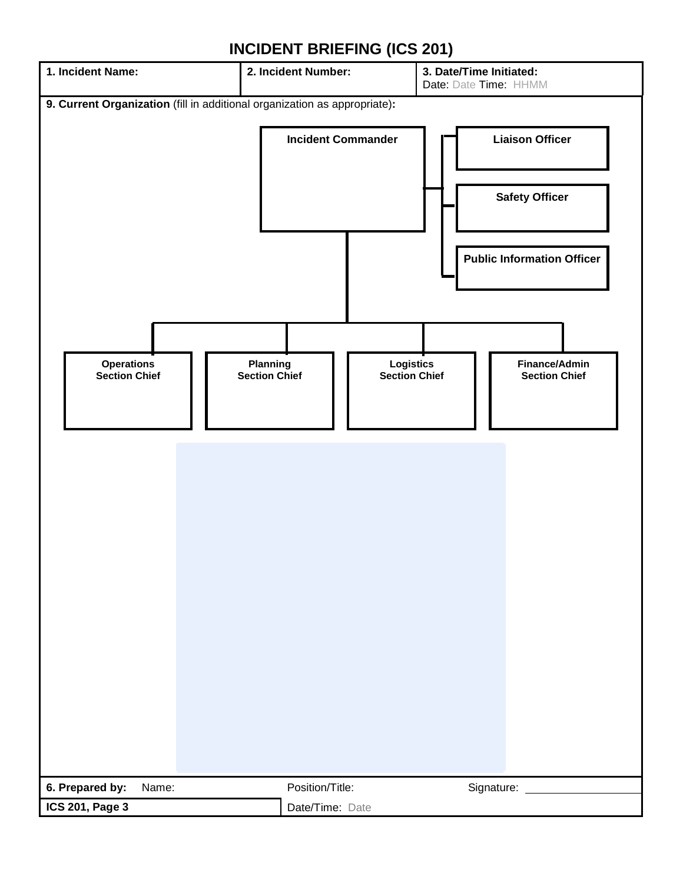# **1. Incident Name: 2. Incident Number: 3. Date/Time Initiated:** Date: Date Time: HHMM **9. Current Organization** (fill in additional organization as appropriate)**: Incident Commander Liaison Officer Safety Officer Public Information Officer Operations Section Chief Planning Section Chief Logistics Section Chief Finance/Admin Section Chief 6. Prepared by:** Name: Position/Title: Signature: Signature: **ICS 201, Page 3** Date/Time: Date